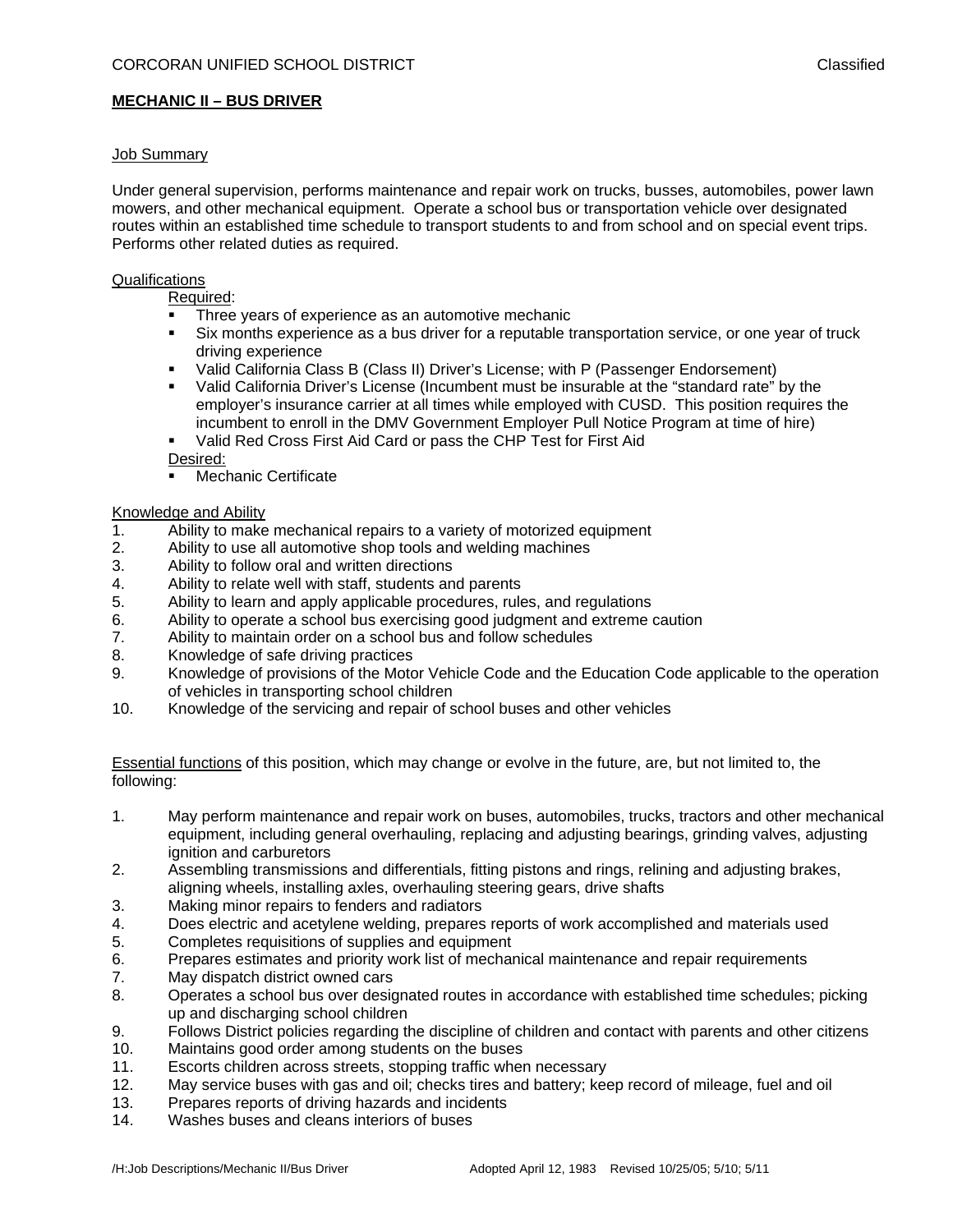# **MECHANIC II – BUS DRIVER**

## Job Summary

Under general supervision, performs maintenance and repair work on trucks, busses, automobiles, power lawn mowers, and other mechanical equipment. Operate a school bus or transportation vehicle over designated routes within an established time schedule to transport students to and from school and on special event trips. Performs other related duties as required.

#### **Qualifications**

Required:

- **Three years of experience as an automotive mechanic**
- Six months experience as a bus driver for a reputable transportation service, or one year of truck driving experience
- Valid California Class B (Class II) Driver's License; with P (Passenger Endorsement)
- Valid California Driver's License (Incumbent must be insurable at the "standard rate" by the employer's insurance carrier at all times while employed with CUSD. This position requires the incumbent to enroll in the DMV Government Employer Pull Notice Program at time of hire)
- Valid Red Cross First Aid Card or pass the CHP Test for First Aid
- Desired:
- **Nechanic Certificate**

### Knowledge and Ability

- 1. Ability to make mechanical repairs to a variety of motorized equipment
- 2. Ability to use all automotive shop tools and welding machines
- 3. Ability to follow oral and written directions
- 4. Ability to relate well with staff, students and parents
- 5. Ability to learn and apply applicable procedures, rules, and regulations
- 6. Ability to operate a school bus exercising good judgment and extreme caution
- 7. Ability to maintain order on a school bus and follow schedules
- 8. Knowledge of safe driving practices
- 9. Knowledge of provisions of the Motor Vehicle Code and the Education Code applicable to the operation of vehicles in transporting school children
- 10. Knowledge of the servicing and repair of school buses and other vehicles

Essential functions of this position, which may change or evolve in the future, are, but not limited to, the following:

- 1. May perform maintenance and repair work on buses, automobiles, trucks, tractors and other mechanical equipment, including general overhauling, replacing and adjusting bearings, grinding valves, adjusting ignition and carburetors
- 2. Assembling transmissions and differentials, fitting pistons and rings, relining and adjusting brakes, aligning wheels, installing axles, overhauling steering gears, drive shafts
- 3. Making minor repairs to fenders and radiators
- 4. Does electric and acetylene welding, prepares reports of work accomplished and materials used
- 5. Completes requisitions of supplies and equipment
- 6. Prepares estimates and priority work list of mechanical maintenance and repair requirements
- 7. May dispatch district owned cars
- 8. Operates a school bus over designated routes in accordance with established time schedules; picking up and discharging school children
- 9. Follows District policies regarding the discipline of children and contact with parents and other citizens
- 10. Maintains good order among students on the buses
- 11. Escorts children across streets, stopping traffic when necessary
- 12. May service buses with gas and oil; checks tires and battery; keep record of mileage, fuel and oil
- 13. Prepares reports of driving hazards and incidents
- 14. Washes buses and cleans interiors of buses